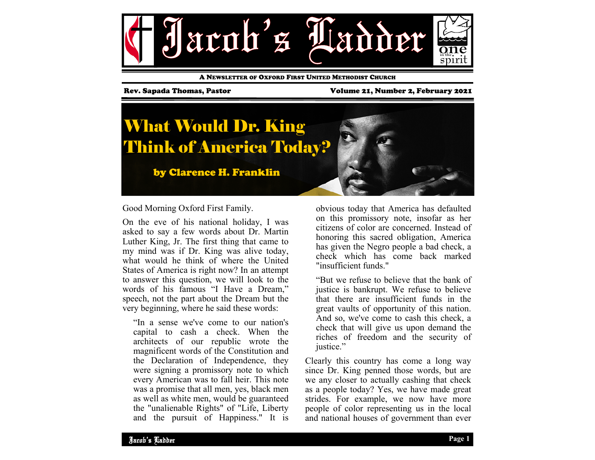

A NEWSLETTER OF OXFORD FIRST UNITED METHODIST CHURCH

Rev. Sapada Thomas, Pastor Volume 21, Number 2, February 2021



Good Morning Oxford First Family.

On the eve of his national holiday, I was asked to say a few words about Dr. Martin Luther King, Jr. The first thing that came to my mind was if Dr. King was alive today, what would he think of where the United States of America is right now? In an attempt to answer this question, we will look to the words of his famous "I Have a Dream," speech, not the part about the Dream but the very beginning, where he said these words:

"In a sense we've come to our nation's capital to cash a check. When the architects of our republic wrote the magnificent words of the Constitution and the Declaration of Independence, they were signing a promissory note to which every American was to fall heir. This note was a promise that all men, yes, black men as well as white men, would be guaranteed the "unalienable Rights" of "Life, Liberty and the pursuit of Happiness." It is obvious today that America has defaulted on this promissory note, insofar as her citizens of color are concerned. Instead of honoring this sacred obligation, America has given the Negro people a bad check, a check which has come back marked "insufficient funds."

"But we refuse to believe that the bank of justice is bankrupt. We refuse to believe that there are insufficient funds in the great vaults of opportunity of this nation. And so, we've come to cash this check, a check that will give us upon demand the riches of freedom and the security of justice."

Clearly this country has come a long way since Dr. King penned those words, but are we any closer to actually cashing that check as a people today? Yes, we have made great strides. For example, we now have more people of color representing us in the local and national houses of government than ever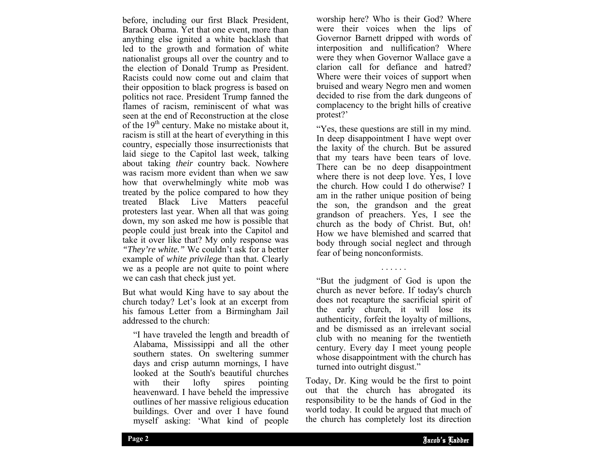before, including our first Black President, Barack Obama. Yet that one event, more than anything else ignited a white backlash that led to the growth and formation of white nationalist groups all over the country and to the election of Donald Trump as President. Racists could now come out and claim that their opposition to black progress is based on politics not race. President Trump fanned the flames of racism, reminiscent of what was seen at the end of Reconstruction at the close of the  $19<sup>th</sup>$  century. Make no mistake about it, racism is still at the heart of everything in this country, especially those insurrectionists that laid siege to the Capitol last week, talking about taking *their* country back. Nowhere was racism more evident than when we saw how that overwhelmingly white mob was treated by the police compared to how they treated Black Live Matters peaceful protesters last year. When all that was going down, my son asked me how is possible that people could just break into the Capitol and take it over like that? My only response was *"They're white."* We couldn't ask for a better example of *white privilege* than that*.* Clearly we as a people are not quite to point where we can cash that check just yet.

But what would King have to say about the church today? Let's look at an excerpt from his famous Letter from a Birmingham Jail addressed to the church:

"I have traveled the length and breadth of Alabama, Mississippi and all the other southern states. On sweltering summer days and crisp autumn mornings, I have looked at the South's beautiful churches with their lofty spires pointing heavenward. I have beheld the impressive outlines of her massive religious education buildings. Over and over I have found myself asking: 'What kind of people

worship here? Who is their God? Where were their voices when the lips of Governor Barnett dripped with words of interposition and nullification? Where were they when Governor Wallace gave a clarion call for defiance and hatred? Where were their voices of support when bruised and weary Negro men and women decided to rise from the dark dungeons of complacency to the bright hills of creative protest?'

"Yes, these questions are still in my mind. In deep disappointment I have wept over the laxity of the church. But be assured that my tears have been tears of love. There can be no deep disappointment where there is not deep love. Yes, I love the church. How could I do otherwise? I am in the rather unique position of being the son, the grandson and the great grandson of preachers. Yes, I see the church as the body of Christ. But, oh! How we have blemished and scarred that body through social neglect and through fear of being nonconformists.

"But the judgment of God is upon the church as never before. If today's church does not recapture the sacrificial spirit of the early church, it will lose its authenticity, forfeit the loyalty of millions, and be dismissed as an irrelevant social club with no meaning for the twentieth century. Every day I meet young people whose disappointment with the church has turned into outright disgust."

. . . . . .

responsibility to be the hands of God in the Today, Dr. King would be the first to point out that the church has abrogated its world today. It could be argued that much of the church has completely lost its direction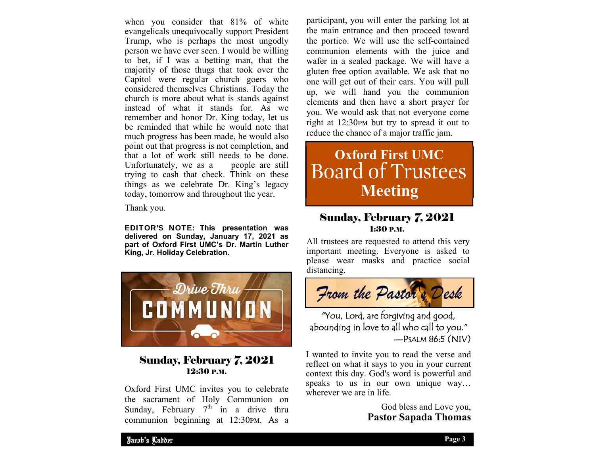when you consider that 81% of white evangelicals unequivocally support President Trump, who is perhaps the most ungodly person we have ever seen. I would be willing to bet, if I was a betting man, that the majority of those thugs that took over the Capitol were regular church goers who considered themselves Christians. Today the church is more about what is stands against instead of what it stands for. As we remember and honor Dr. King today, let us be reminded that while he would note that much progress has been made, he would also point out that progress is not completion, and that a lot of work still needs to be done. Unfortunately, we as a people are still trying to cash that check. Think on these things as we celebrate Dr. King's legacy today, tomorrow and throughout the year.

Thank you.

EDITOR'S NOTE: **This presentation was delivered on Sunday, January 17, 2021 as part of Oxford First UMC's Dr. Martin Luther King, Jr. Holiday Celebration.** 



### Sunday, February 7, 2021 12:30 P.M.

Oxford First UMC invites you to celebrate the sacrament of Holy Communion on Sunday, February  $7<sup>th</sup>$  in a drive thru communion beginning at 12:30 PM. As a participant, you will enter the parking lot at the main entrance and then proceed toward the portico. We will use the self-contained communion elements with the juice and wafer in a sealed package. We will have a gluten free option available. We ask that no one will get out of their cars. You will pull up, we will hand you the communion elements and then have a short prayer for you. We would ask that not everyone come right at 12:30 PM but try to spread it out to reduce the chance of a major traffic jam.

# **Oxford First UMC Board of Trustees Meeting**

## Sunday, February 7, 2021 1:30 P.M.

All trustees are requested to attend this very important meeting. Everyone is asked to please wear masks and practice social distancing.



"You, Lord, are forgiving and good, abounding in love to all who call to you." —PSALM 86:5 (NIV)

I wanted to invite you to read the verse and reflect on what it says to you in your current context this day. God's word is powerful and speaks to us in our own unique way... wherever we are in life.

> God bless and Love you, **Pastor Sapada Thomas**